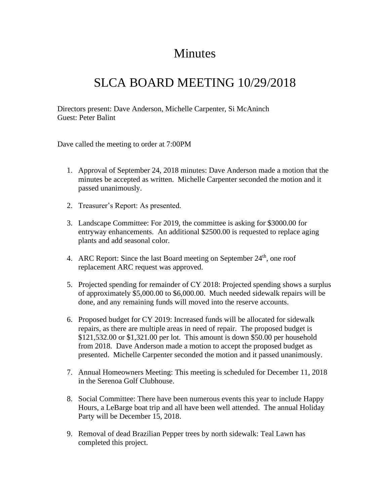## Minutes

## SLCA BOARD MEETING 10/29/2018

Directors present: Dave Anderson, Michelle Carpenter, Si McAninch Guest: Peter Balint

Dave called the meeting to order at 7:00PM

- 1. Approval of September 24, 2018 minutes: Dave Anderson made a motion that the minutes be accepted as written. Michelle Carpenter seconded the motion and it passed unanimously.
- 2. Treasurer's Report: As presented.
- 3. Landscape Committee: For 2019, the committee is asking for \$3000.00 for entryway enhancements. An additional \$2500.00 is requested to replace aging plants and add seasonal color.
- 4. ARC Report: Since the last Board meeting on September  $24<sup>th</sup>$ , one roof replacement ARC request was approved.
- 5. Projected spending for remainder of CY 2018: Projected spending shows a surplus of approximately \$5,000.00 to \$6,000.00. Much needed sidewalk repairs will be done, and any remaining funds will moved into the reserve accounts.
- 6. Proposed budget for CY 2019: Increased funds will be allocated for sidewalk repairs, as there are multiple areas in need of repair. The proposed budget is \$121,532.00 or \$1,321.00 per lot. This amount is down \$50.00 per household from 2018. Dave Anderson made a motion to accept the proposed budget as presented. Michelle Carpenter seconded the motion and it passed unanimously.
- 7. Annual Homeowners Meeting: This meeting is scheduled for December 11, 2018 in the Serenoa Golf Clubhouse.
- 8. Social Committee: There have been numerous events this year to include Happy Hours, a LeBarge boat trip and all have been well attended. The annual Holiday Party will be December 15, 2018.
- 9. Removal of dead Brazilian Pepper trees by north sidewalk: Teal Lawn has completed this project.